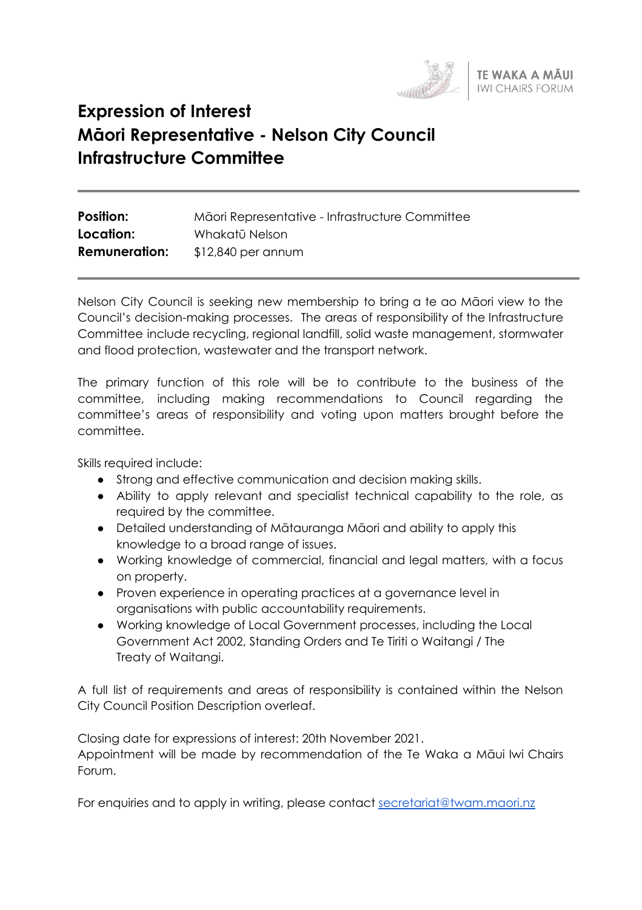

# **Expression of Interest Māori Representative - Nelson City Council Infrastructure Committee**

| <b>Position:</b>     | Māori Representative - Infrastructure Committee |
|----------------------|-------------------------------------------------|
| Location:            | Whakatū Nelson                                  |
| <b>Remuneration:</b> | $$12,840$ per annum                             |

Nelson City Council is seeking new membership to bring a te ao Māori view to the Council's decision-making processes. The areas of responsibility of the Infrastructure Committee include recycling, regional landfill, solid waste management, stormwater and flood protection, wastewater and the transport network.

The primary function of this role will be to contribute to the business of the committee, including making recommendations to Council regarding the committee's areas of responsibility and voting upon matters brought before the committee.

Skills required include:

- Strong and effective communication and decision making skills.
- Ability to apply relevant and specialist technical capability to the role, as required by the committee.
- Detailed understanding of Mātauranga Māori and ability to apply this knowledge to a broad range of issues.
- Working knowledge of commercial, financial and legal matters, with a focus on property.
- Proven experience in operating practices at a governance level in organisations with public accountability requirements.
- Working knowledge of Local Government processes, including the Local Government Act 2002, Standing Orders and Te Tiriti o Waitangi / The Treaty of Waitangi.

A full list of requirements and areas of responsibility is contained within the Nelson City Council Position Description overleaf.

Closing date for expressions of interest: 20th November 2021. Appointment will be made by recommendation of the Te Waka a Māui Iwi Chairs Forum.

For enquiries and to apply in writing, please contact [secretariat@twam.maori.nz](mailto:secretariat@twam.maori.nz)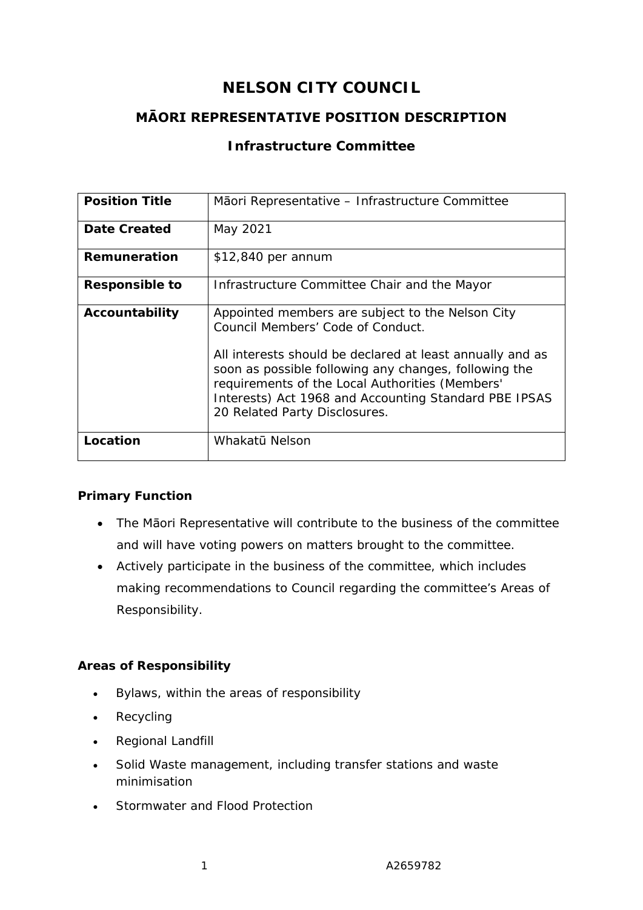## **NELSON CITY COUNCIL**

## **MĀORI REPRESENTATIVE POSITION DESCRIPTION**

## **Infrastructure Committee**

| <b>Position Title</b> | Mãori Representative – Infrastructure Committee                                                                                                                                                             |
|-----------------------|-------------------------------------------------------------------------------------------------------------------------------------------------------------------------------------------------------------|
| Date Created          | May 2021                                                                                                                                                                                                    |
| Remuneration          | \$12,840 per annum                                                                                                                                                                                          |
| <b>Responsible to</b> | Infrastructure Committee Chair and the Mayor                                                                                                                                                                |
| Accountability        | Appointed members are subject to the Nelson City<br>Council Members' Code of Conduct.<br>All interests should be declared at least annually and as<br>soon as possible following any changes, following the |
|                       | requirements of the Local Authorities (Members'<br>Interests) Act 1968 and Accounting Standard PBE IPSAS<br>20 Related Party Disclosures.                                                                   |
| Location              | Whakatū Nelson                                                                                                                                                                                              |

#### **Primary Function**

- The Māori Representative will contribute to the business of the committee and will have voting powers on matters brought to the committee.
- Actively participate in the business of the committee, which includes making recommendations to Council regarding the committee's Areas of Responsibility.

## **Areas of Responsibility**

- Bylaws, within the areas of responsibility
- Recycling
- Regional Landfill
- Solid Waste management, including transfer stations and waste minimisation
- Stormwater and Flood Protection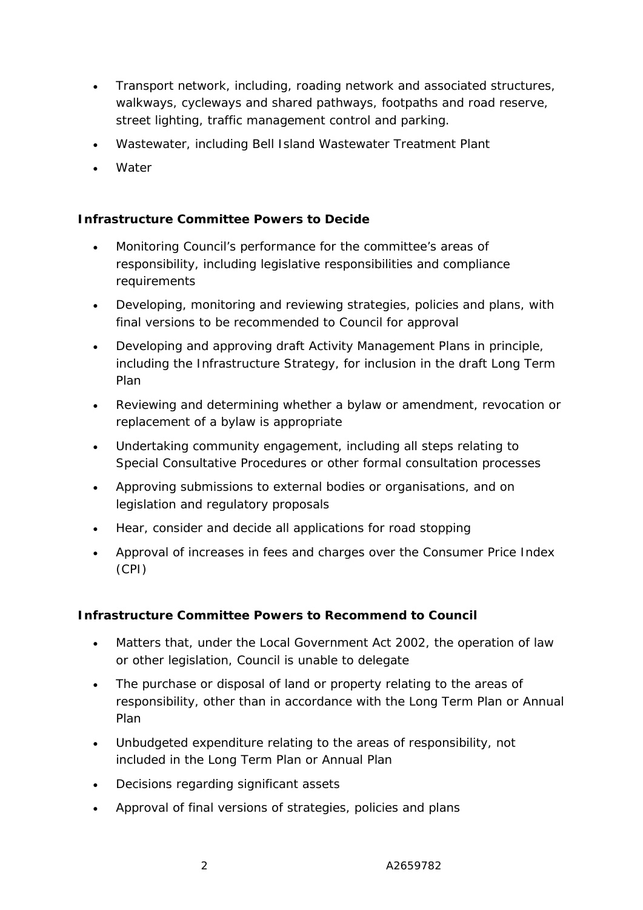- Transport network, including, roading network and associated structures, walkways, cycleways and shared pathways, footpaths and road reserve, street lighting, traffic management control and parking.
- Wastewater, including Bell Island Wastewater Treatment Plant
- Water

#### **Infrastructure Committee Powers to Decide**

- Monitoring Council's performance for the committee's areas of responsibility, including legislative responsibilities and compliance requirements
- Developing, monitoring and reviewing strategies, policies and plans, with final versions to be recommended to Council for approval
- Developing and approving draft Activity Management Plans in principle, including the Infrastructure Strategy, for inclusion in the draft Long Term Plan
- Reviewing and determining whether a bylaw or amendment, revocation or replacement of a bylaw is appropriate
- Undertaking community engagement, including all steps relating to Special Consultative Procedures or other formal consultation processes
- Approving submissions to external bodies or organisations, and on legislation and regulatory proposals
- Hear, consider and decide all applications for road stopping
- Approval of increases in fees and charges over the Consumer Price Index (CPI)

#### **Infrastructure Committee Powers to Recommend to Council**

- Matters that, under the Local Government Act 2002, the operation of law or other legislation, Council is unable to delegate
- The purchase or disposal of land or property relating to the areas of responsibility, other than in accordance with the Long Term Plan or Annual Plan
- Unbudgeted expenditure relating to the areas of responsibility, not included in the Long Term Plan or Annual Plan
- Decisions regarding significant assets
- Approval of final versions of strategies, policies and plans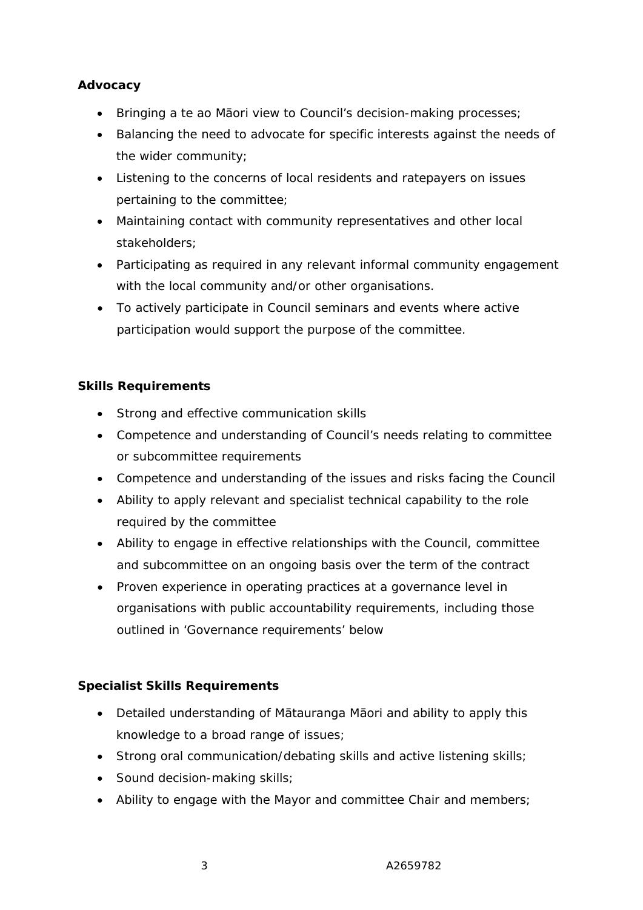#### **Advocacy**

- Bringing a te ao Māori view to Council's decision-making processes;
- Balancing the need to advocate for specific interests against the needs of the wider community;
- Listening to the concerns of local residents and ratepayers on issues pertaining to the committee;
- Maintaining contact with community representatives and other local stakeholders;
- Participating as required in any relevant informal community engagement with the local community and/or other organisations.
- To actively participate in Council seminars and events where active participation would support the purpose of the committee.

## **Skills Requirements**

- Strong and effective communication skills
- Competence and understanding of Council's needs relating to committee or subcommittee requirements
- Competence and understanding of the issues and risks facing the Council
- Ability to apply relevant and specialist technical capability to the role required by the committee
- Ability to engage in effective relationships with the Council, committee and subcommittee on an ongoing basis over the term of the contract
- Proven experience in operating practices at a governance level in organisations with public accountability requirements, including those outlined in 'Governance requirements' below

## **Specialist Skills Requirements**

- Detailed understanding of Mātauranga Māori and ability to apply this knowledge to a broad range of issues;
- Strong oral communication/debating skills and active listening skills;
- Sound decision-making skills;
- Ability to engage with the Mayor and committee Chair and members;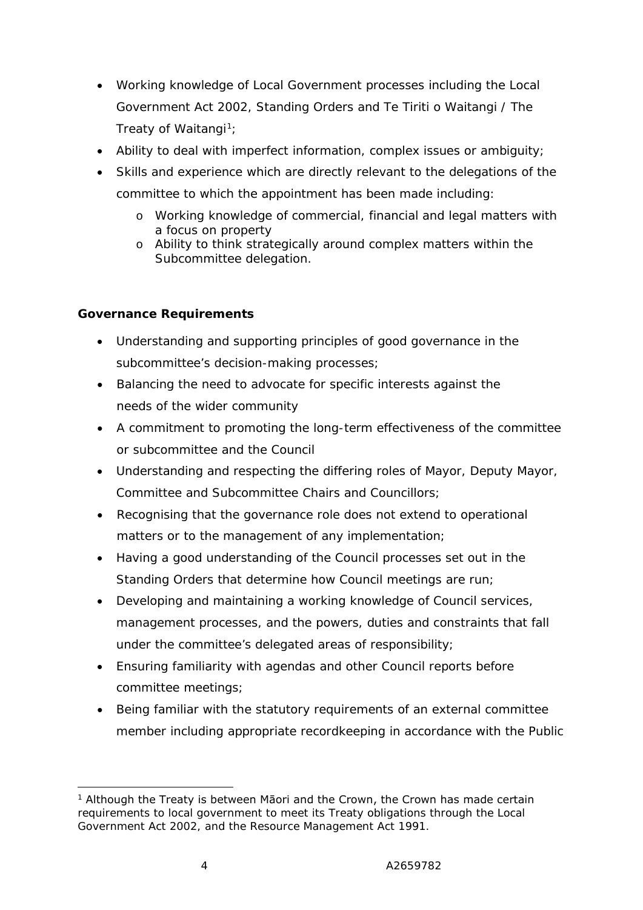- Working knowledge of Local Government processes including the Local Government Act 2002, Standing Orders and Te Tiriti o Waitangi / The Treaty of Waitangi<sup>1</sup>;
- Ability to deal with imperfect information, complex issues or ambiguity;
- Skills and experience which are directly relevant to the delegations of the committee to which the appointment has been made including:
	- o Working knowledge of commercial, financial and legal matters with a focus on property
	- o Ability to think strategically around complex matters within the Subcommittee delegation.

#### **Governance Requirements**

- Understanding and supporting principles of good governance in the subcommittee's decision-making processes;
- Balancing the need to advocate for specific interests against the needs of the wider community
- A commitment to promoting the long-term effectiveness of the committee or subcommittee and the Council
- Understanding and respecting the differing roles of Mayor, Deputy Mayor, Committee and Subcommittee Chairs and Councillors;
- Recognising that the governance role does not extend to operational matters or to the management of any implementation;
- Having a good understanding of the Council processes set out in the Standing Orders that determine how Council meetings are run;
- Developing and maintaining a working knowledge of Council services, management processes, and the powers, duties and constraints that fall under the committee's delegated areas of responsibility;
- Ensuring familiarity with agendas and other Council reports before committee meetings;
- Being familiar with the statutory requirements of an external committee member including appropriate recordkeeping in accordance with the Public

<sup>&</sup>lt;sup>1</sup> Although the Treaty is between Māori and the Crown, the Crown has made certain requirements to local government to meet its Treaty obligations through the Local Government Act 2002, and the Resource Management Act 1991.